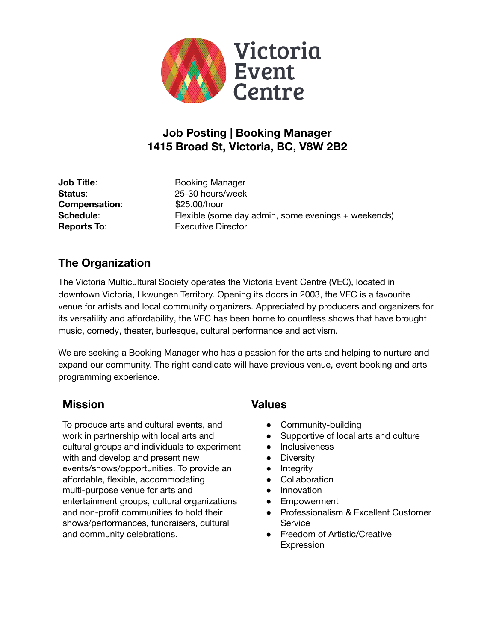

# **Job Posting | Booking Manager 1415 Broad St, Victoria, BC, V8W 2B2**

**Compensation:** \$25.00/hour

**Job Title:** Booking Manager **Status**: 25-30 hours/week **Schedule:** Flexible (some day admin, some evenings + weekends) **Reports To**: Executive Director

# **The Organization**

The Victoria Multicultural Society operates the Victoria Event Centre (VEC), located in downtown Victoria, Lkwungen Territory. Opening its doors in 2003, the VEC is a favourite venue for artists and local community organizers. Appreciated by producers and organizers for its versatility and affordability, the VEC has been home to countless shows that have brought music, comedy, theater, burlesque, cultural performance and activism.

We are seeking a Booking Manager who has a passion for the arts and helping to nurture and expand our community. The right candidate will have previous venue, event booking and arts programming experience.

## **Mission Values**

To produce arts and cultural events, and work in partnership with local arts and cultural groups and individuals to experiment with and develop and present new events/shows/opportunities. To provide an affordable, flexible, accommodating multi-purpose venue for arts and entertainment groups, cultural organizations and non-profit communities to hold their shows/performances, fundraisers, cultural and community celebrations.

- Community-building
- Supportive of local arts and culture
- Inclusiveness
- **•** Diversity
- Integrity
- Collaboration
- Innovation
- Empowerment
- Professionalism & Excellent Customer **Service**
- Freedom of Artistic/Creative **Expression**